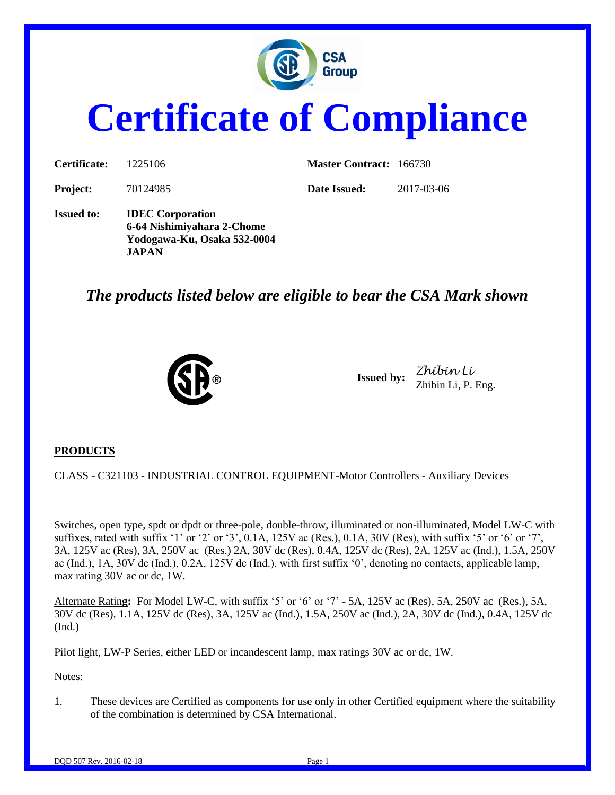

# **Certificate of Compliance**

| Certificate:      | 1225106                                                                                              | <b>Master Contract: 166730</b> |            |
|-------------------|------------------------------------------------------------------------------------------------------|--------------------------------|------------|
| <b>Project:</b>   | 70124985                                                                                             | Date Issued:                   | 2017-03-06 |
| <b>Issued to:</b> | <b>IDEC</b> Corporation<br>6-64 Nishimiyahara 2-Chome<br>Yodogawa-Ku, Osaka 532-0004<br><b>JAPAN</b> |                                |            |

# *The products listed below are eligible to bear the CSA Mark shown*



**Issued by:** *Zhibin Li* Zhibin Li, P. Eng.

## **PRODUCTS**

CLASS - C321103 - INDUSTRIAL CONTROL EQUIPMENT-Motor Controllers - Auxiliary Devices

Switches, open type, spdt or dpdt or three-pole, double-throw, illuminated or non-illuminated, Model LW-C with suffixes, rated with suffix '1' or '2' or '3',  $0.1A$ ,  $125V$  ac (Res.),  $0.1A$ ,  $30V$  (Res), with suffix '5' or '6' or '7', 3A, 125V ac (Res), 3A, 250V ac (Res.) 2A, 30V dc (Res), 0.4A, 125V dc (Res), 2A, 125V ac (Ind.), 1.5A, 250V ac (Ind.), 1A, 30V dc (Ind.), 0.2A, 125V dc (Ind.), with first suffix '0', denoting no contacts, applicable lamp, max rating 30V ac or dc, 1W.

Alternate Ratin**g:** For Model LW-C, with suffix '5' or '6' or '7' - 5A, 125V ac (Res), 5A, 250V ac (Res.), 5A, 30V dc (Res), 1.1A, 125V dc (Res), 3A, 125V ac (Ind.), 1.5A, 250V ac (Ind.), 2A, 30V dc (Ind.), 0.4A, 125V dc (Ind.)

Pilot light, LW-P Series, either LED or incandescent lamp, max ratings 30V ac or dc, 1W.

#### Notes:

1. These devices are Certified as components for use only in other Certified equipment where the suitability of the combination is determined by CSA International.